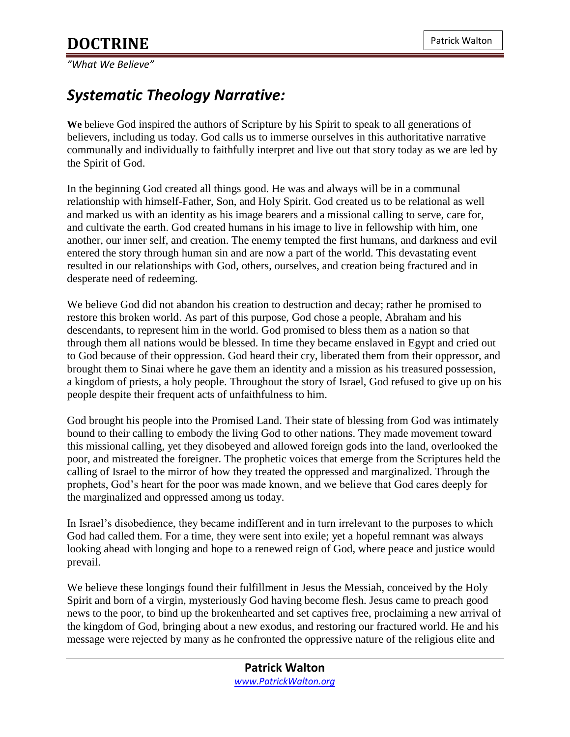*"What We Believe"*

## *Systematic Theology Narrative:*

**We** believe God inspired the authors of Scripture by his Spirit to speak to all generations of believers, including us today. God calls us to immerse ourselves in this authoritative narrative communally and individually to faithfully interpret and live out that story today as we are led by the Spirit of God.

In the beginning God created all things good. He was and always will be in a communal relationship with himself-Father, Son, and Holy Spirit. God created us to be relational as well and marked us with an identity as his image bearers and a missional calling to serve, care for, and cultivate the earth. God created humans in his image to live in fellowship with him, one another, our inner self, and creation. The enemy tempted the first humans, and darkness and evil entered the story through human sin and are now a part of the world. This devastating event resulted in our relationships with God, others, ourselves, and creation being fractured and in desperate need of redeeming.

We believe God did not abandon his creation to destruction and decay; rather he promised to restore this broken world. As part of this purpose, God chose a people, Abraham and his descendants, to represent him in the world. God promised to bless them as a nation so that through them all nations would be blessed. In time they became enslaved in Egypt and cried out to God because of their oppression. God heard their cry, liberated them from their oppressor, and brought them to Sinai where he gave them an identity and a mission as his treasured possession, a kingdom of priests, a holy people. Throughout the story of Israel, God refused to give up on his people despite their frequent acts of unfaithfulness to him.

God brought his people into the Promised Land. Their state of blessing from God was intimately bound to their calling to embody the living God to other nations. They made movement toward this missional calling, yet they disobeyed and allowed foreign gods into the land, overlooked the poor, and mistreated the foreigner. The prophetic voices that emerge from the Scriptures held the calling of Israel to the mirror of how they treated the oppressed and marginalized. Through the prophets, God's heart for the poor was made known, and we believe that God cares deeply for the marginalized and oppressed among us today.

In Israel's disobedience, they became indifferent and in turn irrelevant to the purposes to which God had called them. For a time, they were sent into exile; yet a hopeful remnant was always looking ahead with longing and hope to a renewed reign of God, where peace and justice would prevail.

We believe these longings found their fulfillment in Jesus the Messiah, conceived by the Holy Spirit and born of a virgin, mysteriously God having become flesh. Jesus came to preach good news to the poor, to bind up the brokenhearted and set captives free, proclaiming a new arrival of the kingdom of God, bringing about a new exodus, and restoring our fractured world. He and his message were rejected by many as he confronted the oppressive nature of the religious elite and